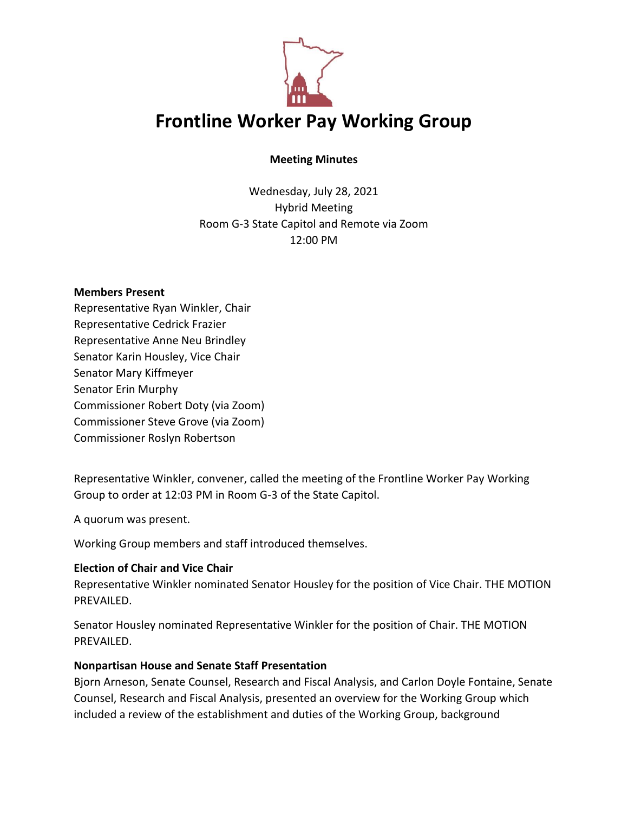

### **Meeting Minutes**

Wednesday, July 28, 2021 Hybrid Meeting Room G-3 State Capitol and Remote via Zoom 12:00 PM

#### **Members Present**

Representative Ryan Winkler, Chair Representative Cedrick Frazier Representative Anne Neu Brindley Senator Karin Housley, Vice Chair Senator Mary Kiffmeyer Senator Erin Murphy Commissioner Robert Doty (via Zoom) Commissioner Steve Grove (via Zoom) Commissioner Roslyn Robertson

Representative Winkler, convener, called the meeting of the Frontline Worker Pay Working Group to order at 12:03 PM in Room G-3 of the State Capitol.

A quorum was present.

Working Group members and staff introduced themselves.

# **Election of Chair and Vice Chair**

Representative Winkler nominated Senator Housley for the position of Vice Chair. THE MOTION PREVAILED.

Senator Housley nominated Representative Winkler for the position of Chair. THE MOTION PREVAILED.

### **Nonpartisan House and Senate Staff Presentation**

Bjorn Arneson, Senate Counsel, Research and Fiscal Analysis, and Carlon Doyle Fontaine, Senate Counsel, Research and Fiscal Analysis, presented an overview for the Working Group which included a review of the establishment and duties of the Working Group, background